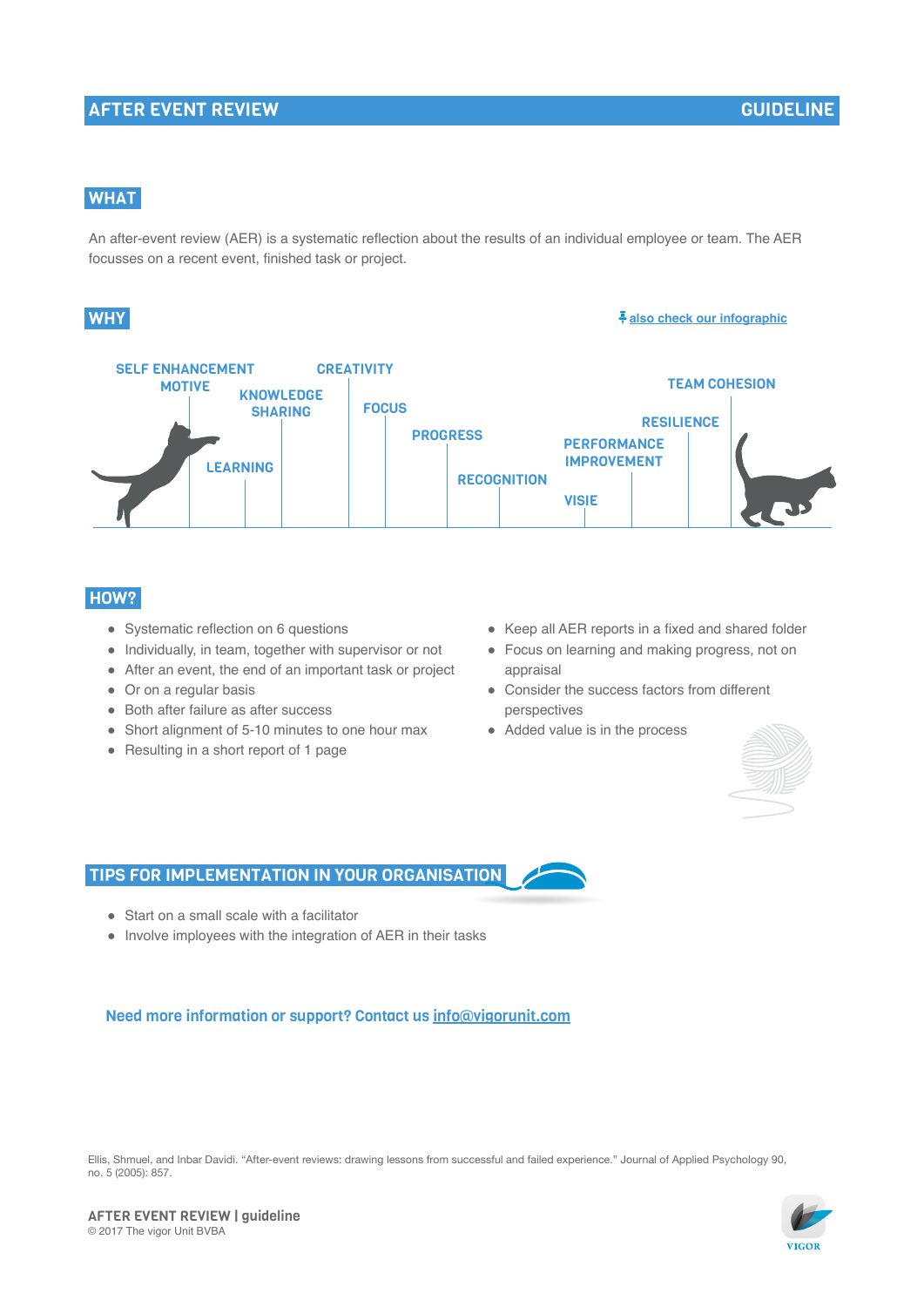# AFTER EVENT REVIEW

# **WHAT**

An after-event review (AER) is a systematic reflection about the results of an individual employee or team. The AER focusses on a recent event, finished task or project.

### **WHY**

#### **also check our infographic**



### HOW?

- Systematic reflection on 6 questions
- Individually, in team, together with supervisor or not
- After an event, the end of an important task or project
- Or on a regular basis
- Both after failure as after success
- Short alignment of 5-10 minutes to one hour max
- Resulting in a short report of 1 page
- Keep all AER reports in a fixed and shared folder
- Focus on learning and making progress, not on appraisal
- Consider the success factors from different perspectives
- Added value is in the process



### TIPS FOR IMPLEMENTATION IN YOUR ORGANISATION

- Start on a small scale with a facilitator
- Involve imployees with the integration of AER in their tasks

#### Need more information or support? Contact us info@vigorunit.com

Ellis, Shmuel, and Inbar Davidi. "After-event reviews: drawing lessons from successful and failed experience." Journal of Applied Psychology 90, no. 5 (2005): 857.